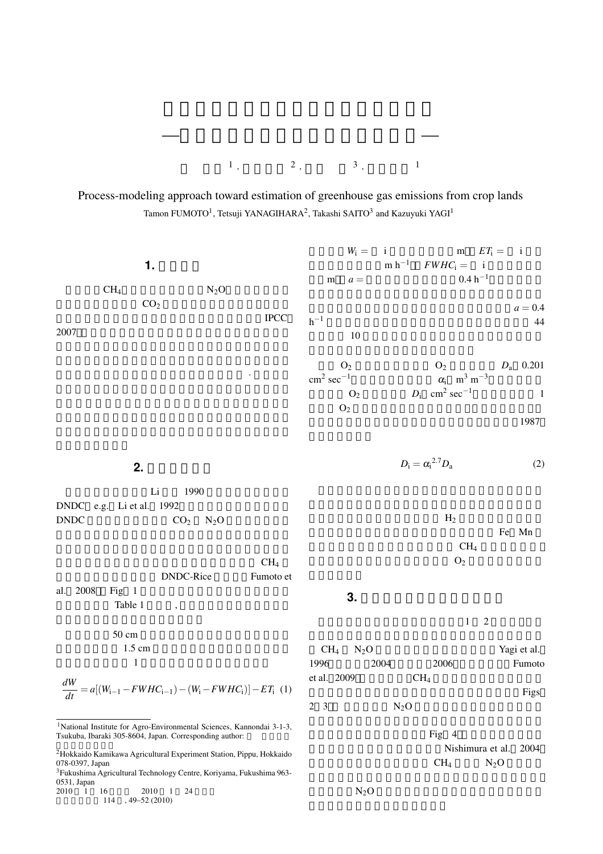

Process-modeling approach toward estimation of greenhouse gas emissions from crop lands Tamon FUMOTO<sup>1</sup>, Tetsuji YANAGIHARA<sup>2</sup>, Takashi SAITO<sup>3</sup> and Kazuyuki YAGI<sup>1</sup>

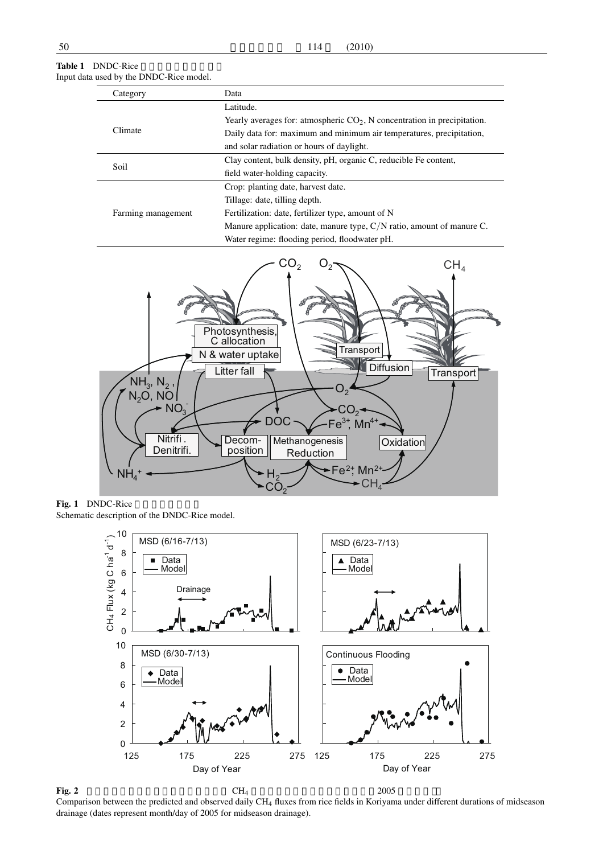| Category           | Data                                                                       |  |  |  |
|--------------------|----------------------------------------------------------------------------|--|--|--|
| Climate            | Latitude.                                                                  |  |  |  |
|                    | Yearly averages for: atmospheric $CO2$ , N concentration in precipitation. |  |  |  |
|                    | Daily data for: maximum and minimum air temperatures, precipitation,       |  |  |  |
|                    | and solar radiation or hours of daylight.                                  |  |  |  |
| Soil               | Clay content, bulk density, pH, organic C, reducible Fe content,           |  |  |  |
|                    | field water-holding capacity.                                              |  |  |  |
| Farming management | Crop: planting date, harvest date.                                         |  |  |  |
|                    | Tillage: date, tilling depth.                                              |  |  |  |
|                    | Fertilization: date, fertilizer type, amount of N                          |  |  |  |
|                    | Manure application: date, manure type, $C/N$ ratio, amount of manure C.    |  |  |  |
|                    | Water regime: flooding period, floodwater pH.                              |  |  |  |



## Table 1 DNDC-Rice Input data used by the DNDC-Rice model.

Fig. 1 DNDC-Rice Schematic description of the DNDC-Rice model.



Comparison between the predicted and observed daily CH<sup>4</sup> fluxes from rice fields in Koriyama under different durations of midseason drainage (dates represent month/day of 2005 for midseason drainage).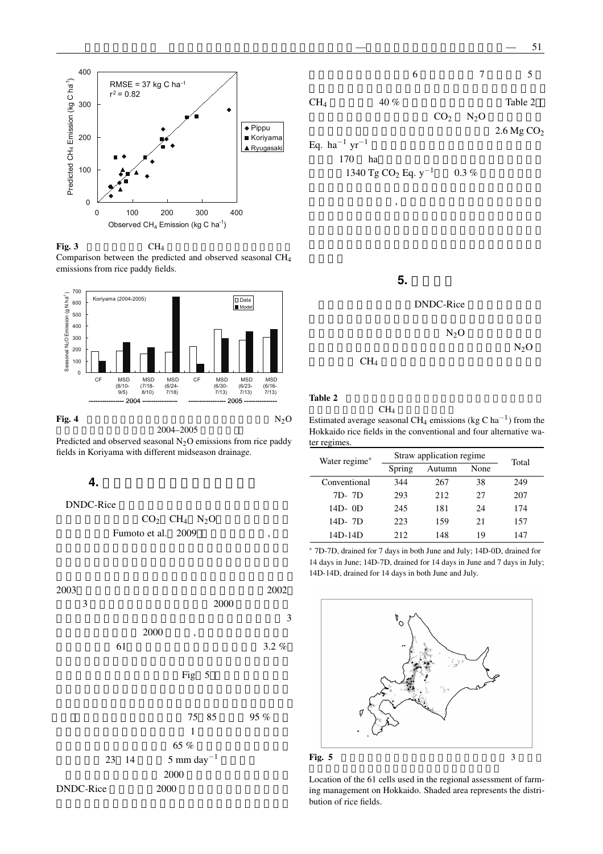



Fig. 3  $CH_4$ Comparison between the predicted and observed seasonal CH<sup>4</sup> emissions from rice paddy fields.



## Fig. 4  $N_2O$

排出量の予測値と実測値(2004–2005 年,郡山).

Predicted and observed seasonal  $N<sub>2</sub>O$  emissions from rice paddy fields in Koriyama with different midseason drainage.

## **4.** 広域スケールでのモデルの適用

DNDC-Rice

$$
CO2 CH4 N2O
$$
\n
$$
Fumoto et al. 2009 ,
$$





5. DNDC-Rice  $N_2O$  $N<sub>2</sub>O$  $CH_4$ 

Table 2

 $CH<sub>4</sub>$ Estimated average seasonal CH<sup>4</sup> emissions (kg C ha*−*<sup>1</sup> ) from the Hokkaido rice fields in the conventional and four alternative water regimes.

| Water regime* | Straw application regime | Total          |    |     |  |
|---------------|--------------------------|----------------|----|-----|--|
|               | Spring                   | None<br>Autumn |    |     |  |
| Conventional  | 344                      | 267            | 38 | 249 |  |
| 7D- 7D        | 293                      | 212            | 27 | 207 |  |
| 14D-0D        | 245                      | 181            | 24 | 174 |  |
| 14D- 7D       | 223                      | 159            | 21 | 157 |  |
| 14D-14D       | 212                      | 148            | 19 | 147 |  |

*<sup>∗</sup>* 7D-7D, drained for 7 days in both June and July; 14D-0D, drained for 14 days in June; 14D-7D, drained for 14 days in June and 7 days in July; 14D-14D, drained for 14 days in both June and July.



Location of the 61 cells used in the regional assessment of farming management on Hokkaido. Shaded area represents the distribution of rice fields.